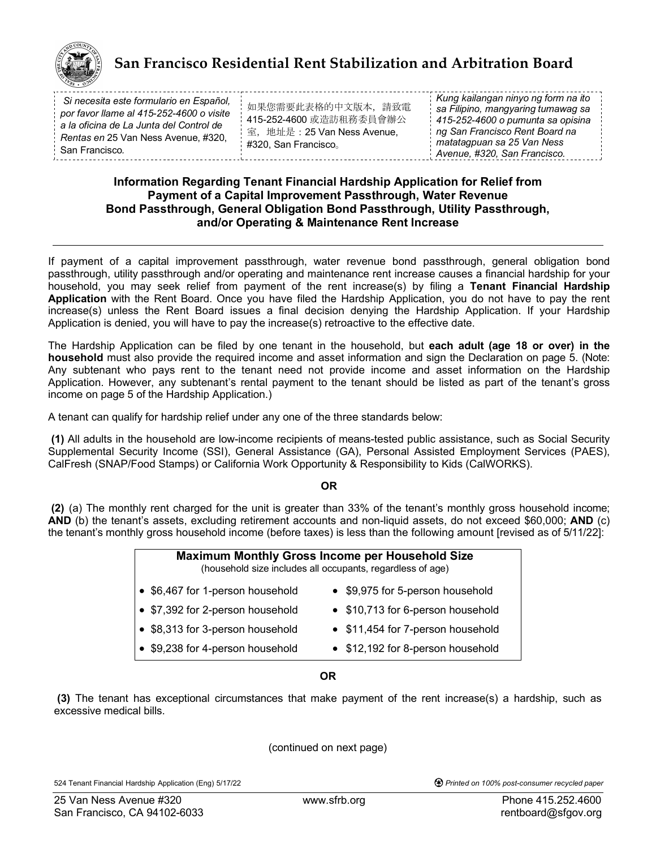

# **San Francisco Residential Rent Stabilization and Arbitration Board**

| Si necesita este formulario en Español,  |
|------------------------------------------|
| por favor llame al 415-252-4600 o visite |
| a la oficina de La Junta del Control de  |
| Rentas en 25 Van Ness Avenue, #320,      |
| San Francisco.                           |
|                                          |

如果您需要此表格的中文版本,請致電 415-252-4600 或造訪租務委員會辦公 室, 地址是: 25 Van Ness Avenue, #320, San Francisco。

*Kung kailangan ninyo ng form na ito sa Filipino, mangyaring tumawag sa 415-252-4600 o pumunta sa opisina ng San Francisco Rent Board na matatagpuan sa 25 Van Ness Avenue, #320, San Francisco.*

### **Information Regarding Tenant Financial Hardship Application for Relief from Payment of a Capital Improvement Passthrough, Water Revenue Bond Passthrough, General Obligation Bond Passthrough, Utility Passthrough, and/or Operating & Maintenance Rent Increase**

If payment of a capital improvement passthrough, water revenue bond passthrough, general obligation bond passthrough, utility passthrough and/or operating and maintenance rent increase causes a financial hardship for your household, you may seek relief from payment of the rent increase(s) by filing a **Tenant Financial Hardship Application** with the Rent Board. Once you have filed the Hardship Application, you do not have to pay the rent increase(s) unless the Rent Board issues a final decision denying the Hardship Application. If your Hardship Application is denied, you will have to pay the increase(s) retroactive to the effective date.

The Hardship Application can be filed by one tenant in the household, but **each adult (age 18 or over) in the household** must also provide the required income and asset information and sign the Declaration on page 5. (Note: Any subtenant who pays rent to the tenant need not provide income and asset information on the Hardship Application. However, any subtenant's rental payment to the tenant should be listed as part of the tenant's gross income on page 5 of the Hardship Application.)

A tenant can qualify for hardship relief under any one of the three standards below:

**(1)** All adults in the household are low-income recipients of means-tested public assistance, such as Social Security Supplemental Security Income (SSI), General Assistance (GA), Personal Assisted Employment Services (PAES), CalFresh (SNAP/Food Stamps) or California Work Opportunity & Responsibility to Kids (CalWORKS).

#### **OR**

**(2)** (a) The monthly rent charged for the unit is greater than 33% of the tenant's monthly gross household income; **AND** (b) the tenant's assets, excluding retirement accounts and non-liquid assets, do not exceed \$60,000; **AND** (c) the tenant's monthly gross household income (before taxes) is less than the following amount [revised as of 5/11/22]:

| <b>Maximum Monthly Gross Income per Household Size</b><br>(household size includes all occupants, regardless of age) |                                   |  |  |  |  |
|----------------------------------------------------------------------------------------------------------------------|-----------------------------------|--|--|--|--|
| • \$6,467 for 1-person household                                                                                     | • \$9,975 for 5-person household  |  |  |  |  |
| • \$7,392 for 2-person household                                                                                     | • \$10,713 for 6-person household |  |  |  |  |
| • \$8,313 for 3-person household                                                                                     | • \$11,454 for 7-person household |  |  |  |  |
| • \$9,238 for 4-person household                                                                                     | • \$12,192 for 8-person household |  |  |  |  |

#### **OR**

**(3)** The tenant has exceptional circumstances that make payment of the rent increase(s) a hardship, such as excessive medical bills.

(continued on next page)

524 Tenant Financial Hardship Application (Eng) 5/17/22 *Printed on 100% post-consumer recycled paper*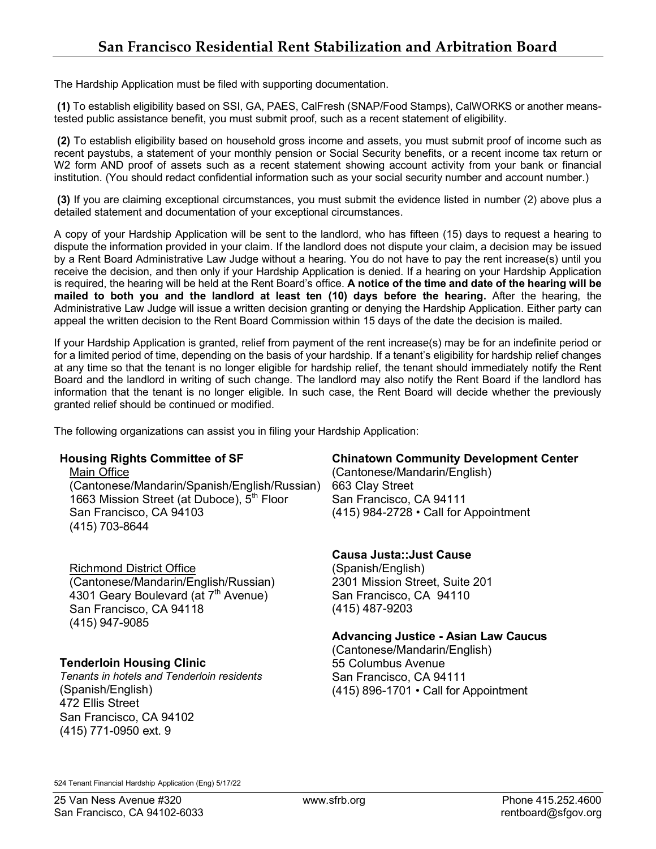The Hardship Application must be filed with supporting documentation.

**(1)** To establish eligibility based on SSI, GA, PAES, CalFresh (SNAP/Food Stamps), CalWORKS or another meanstested public assistance benefit, you must submit proof, such as a recent statement of eligibility.

**(2)** To establish eligibility based on household gross income and assets, you must submit proof of income such as recent paystubs, a statement of your monthly pension or Social Security benefits, or a recent income tax return or W2 form AND proof of assets such as a recent statement showing account activity from your bank or financial institution. (You should redact confidential information such as your social security number and account number.)

**(3)** If you are claiming exceptional circumstances, you must submit the evidence listed in number (2) above plus a detailed statement and documentation of your exceptional circumstances.

A copy of your Hardship Application will be sent to the landlord, who has fifteen (15) days to request a hearing to dispute the information provided in your claim. If the landlord does not dispute your claim, a decision may be issued by a Rent Board Administrative Law Judge without a hearing. You do not have to pay the rent increase(s) until you receive the decision, and then only if your Hardship Application is denied. If a hearing on your Hardship Application is required, the hearing will be held at the Rent Board's office. **A notice of the time and date of the hearing will be mailed to both you and the landlord at least ten (10) days before the hearing.** After the hearing, the Administrative Law Judge will issue a written decision granting or denying the Hardship Application. Either party can appeal the written decision to the Rent Board Commission within 15 days of the date the decision is mailed.

If your Hardship Application is granted, relief from payment of the rent increase(s) may be for an indefinite period or for a limited period of time, depending on the basis of your hardship. If a tenant's eligibility for hardship relief changes at any time so that the tenant is no longer eligible for hardship relief, the tenant should immediately notify the Rent Board and the landlord in writing of such change. The landlord may also notify the Rent Board if the landlord has information that the tenant is no longer eligible. In such case, the Rent Board will decide whether the previously granted relief should be continued or modified.

The following organizations can assist you in filing your Hardship Application:

Main Office **Manual Library (Cantonese/Mandarin/English)** (Cantonese/Mandarin/Spanish/English/Russian) 663 Clay Street 1663 Mission Street (at Duboce), 5<sup>th</sup> Floor San Francisco, CA 94111 San Francisco, CA 94103 (415) 984-2728 • Call for Appointment (415) 703-8644

### Richmond District Office

(Cantonese/Mandarin/English/Russian) 4301 Geary Boulevard (at 7<sup>th</sup> Avenue) San Francisco, CA 94118 (415) 947-9085

### **Tenderloin Housing Clinic**

*Tenants in hotels and Tenderloin residents* (Spanish/English) 472 Ellis Street San Francisco, CA 94102 (415) 771-0950 ext. 9

### **Housing Rights Committee of SF Chinatown Community Development Center**

### **Causa Justa::Just Cause**

(Spanish/English) 2301 Mission Street, Suite 201 San Francisco, CA 94110 (415) 487-9203

### **Advancing Justice - Asian Law Caucus**

(Cantonese/Mandarin/English) 55 Columbus Avenue San Francisco, CA 94111 (415) 896-1701 • Call for Appointment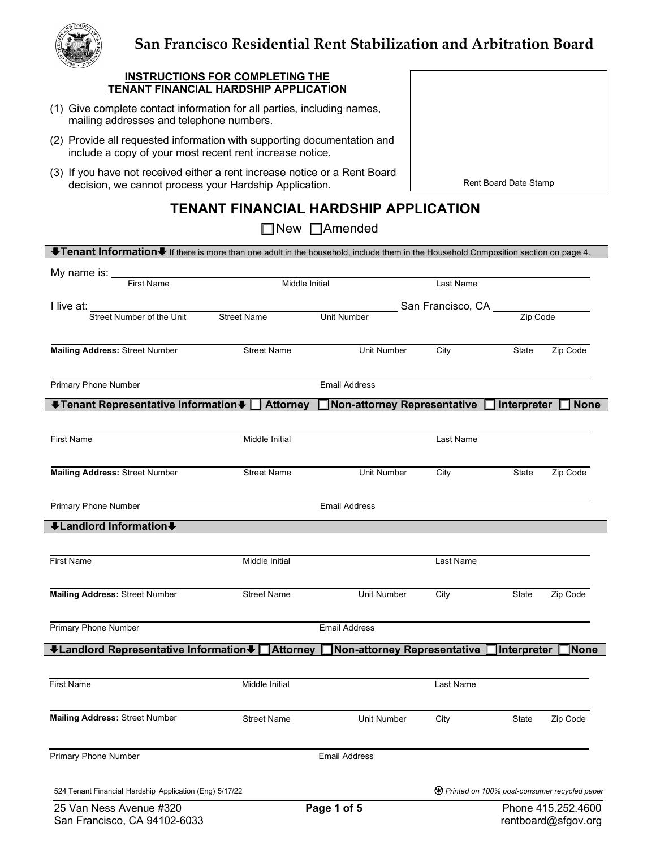

# **San Francisco Residential Rent Stabilization and Arbitration Board**

#### **INSTRUCTIONS FOR COMPLETING THE TENANT FINANCIAL HARDSHIP APPLICATION**

- (1) Give complete contact information for all parties, including names, mailing addresses and telephone numbers.
- (2) Provide all requested information with supporting documentation and include a copy of your most recent rent increase notice.
- (3) If you have not received either a rent increase notice or a Rent Board decision, we cannot process your Hardship Application.

Rent Board Date Stamp

# **TENANT FINANCIAL HARDSHIP APPLICATION**

# ■New ■Amended

| UTenant Information U If there is more than one adult in the household, include them in the Household Composition section on page 4. |                    |                             |                   |                                                        |                    |
|--------------------------------------------------------------------------------------------------------------------------------------|--------------------|-----------------------------|-------------------|--------------------------------------------------------|--------------------|
| My name is: First Name                                                                                                               | Middle Initial     |                             | Last Name         |                                                        |                    |
| I live at:                                                                                                                           |                    |                             | San Francisco, CA |                                                        |                    |
| Street Number of the Unit                                                                                                            | <b>Street Name</b> | Unit Number                 |                   | Zip Code                                               |                    |
| <b>Mailing Address: Street Number</b>                                                                                                | <b>Street Name</b> | Unit Number                 | City              | State                                                  | Zip Code           |
| <b>Primary Phone Number</b>                                                                                                          |                    | <b>Email Address</b>        |                   |                                                        |                    |
| ↓Tenant Representative Information ↓   Attorney                                                                                      |                    | Non-attorney Representative |                   | $\mathsf{\lbrack}$ Interpreter                         | ∐ None             |
| <b>First Name</b>                                                                                                                    | Middle Initial     |                             | Last Name         |                                                        |                    |
| Mailing Address: Street Number                                                                                                       | Unit Number        | City                        | State             | Zip Code                                               |                    |
| Primary Phone Number                                                                                                                 |                    | <b>Email Address</b>        |                   |                                                        |                    |
| +Landlord Information+                                                                                                               |                    |                             |                   |                                                        |                    |
| <b>First Name</b>                                                                                                                    | Middle Initial     |                             | Last Name         |                                                        |                    |
| <b>Mailing Address: Street Number</b>                                                                                                | <b>Street Name</b> | Unit Number                 | City              | State                                                  | Zip Code           |
| Primary Phone Number                                                                                                                 |                    | <b>Email Address</b>        |                   |                                                        |                    |
| VLandlord Representative InformationV DAttorney DNon-attorney Representative                                                         |                    |                             |                   | Interpreter                                            | <b>None</b>        |
| <b>First Name</b>                                                                                                                    | Middle Initial     |                             | Last Name         |                                                        |                    |
| Mailing Address: Street Number                                                                                                       | <b>Street Name</b> | Unit Number                 | City              | State                                                  | Zip Code           |
| <b>Primary Phone Number</b>                                                                                                          |                    | <b>Email Address</b>        |                   |                                                        |                    |
| 524 Tenant Financial Hardship Application (Eng) 5/17/22                                                                              |                    |                             |                   | <b>49</b> Printed on 100% post-consumer recycled paper |                    |
| 25 Van Ness Avenue #320                                                                                                              |                    | Page 1 of 5                 |                   |                                                        | Phone 415.252.4600 |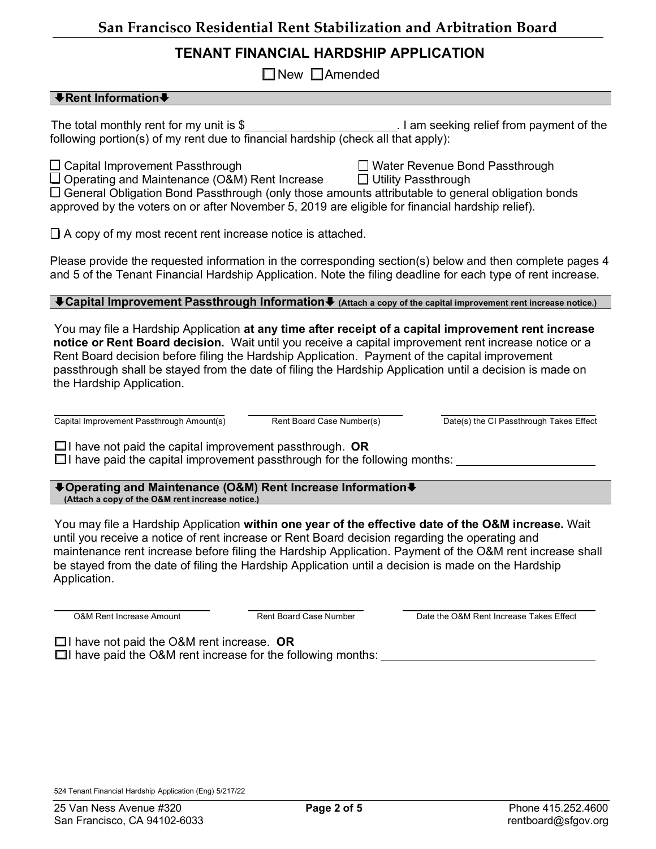## **TENANT FINANCIAL HARDSHIP APPLICATION**

 $\Box$  New  $\Box$  Amended

### $\biguparrow$  **Rent Information** ♦

The total monthly rent for my unit is \$ . I am seeking relief from payment of the following portion(s) of my rent due to financial hardship (check all that apply):

 $\Box$  Capital Improvement Passthrough  $\Box$  Water Revenue Bond Passthrough

 $\Box$  Operating and Maintenance (O&M) Rent Increase  $\Box$  Utility Passthrough

 $\Box$  General Obligation Bond Passthrough (only those amounts attributable to general obligation bonds approved by the voters on or after November 5, 2019 are eligible for financial hardship relief).

 $\Box$  A copy of my most recent rent increase notice is attached.

Please provide the requested information in the corresponding section(s) below and then complete pages 4 and 5 of the Tenant Financial Hardship Application. Note the filing deadline for each type of rent increase.

È**Capital Improvement Passthrough Information**È **(Attach a copy of the capital improvement rent increase notice.)**

You may file a Hardship Application **at any time after receipt of a capital improvement rent increase notice or Rent Board decision.** Wait until you receive a capital improvement rent increase notice or a Rent Board decision before filing the Hardship Application. Payment of the capital improvement passthrough shall be stayed from the date of filing the Hardship Application until a decision is made on the Hardship Application.

Capital Improvement Passthrough Amount(s) Rent Board Case Number(s) Date(s) the CI Passthrough Takes Effect

 $\Box$ I have not paid the capital improvement passthrough. **OR** 

 $\square$ I have paid the capital improvement passthrough for the following months:

È**Operating and Maintenance (O&M) Rent Increase Information**È **(Attach a copy of the O&M rent increase notice.)**

You may file a Hardship Application **within one year of the effective date of the O&M increase.** Wait until you receive a notice of rent increase or Rent Board decision regarding the operating and maintenance rent increase before filing the Hardship Application. Payment of the O&M rent increase shall be stayed from the date of filing the Hardship Application until a decision is made on the Hardship Application.

O&M Rent Increase Amount Rent Board Case Number Date the O&M Rent Increase Takes Effect

□I have not paid the O&M rent increase. **OR** 

 $\Box$ I have paid the O&M rent increase for the following months: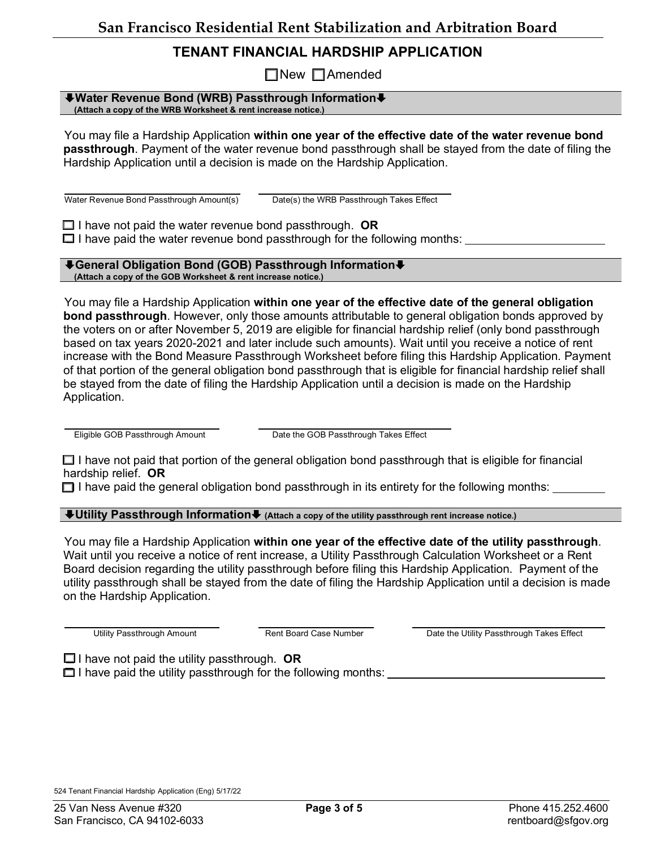# **TENANT FINANCIAL HARDSHIP APPLICATION**

 $\Box$ New  $\Box$ Amended

#### È**Water Revenue Bond (WRB) Passthrough Information**È **(Attach a copy of the WRB Worksheet & rent increase notice.)**

You may file a Hardship Application **within one year of the effective date of the water revenue bond passthrough**. Payment of the water revenue bond passthrough shall be stayed from the date of filing the Hardship Application until a decision is made on the Hardship Application.

Water Revenue Bond Passthrough Amount(s) Date(s) the WRB Passthrough Takes Effect

 $\Box$  I have not paid the water revenue bond passthrough. **OR**  $\Box$  I have paid the water revenue bond passthrough for the following months:

#### È**General Obligation Bond (GOB) Passthrough Information**È **(Attach a copy of the GOB Worksheet & rent increase notice.)**

You may file a Hardship Application **within one year of the effective date of the general obligation bond passthrough**. However, only those amounts attributable to general obligation bonds approved by the voters on or after November 5, 2019 are eligible for financial hardship relief (only bond passthrough based on tax years 2020-2021 and later include such amounts). Wait until you receive a notice of rent increase with the Bond Measure Passthrough Worksheet before filing this Hardship Application. Payment of that portion of the general obligation bond passthrough that is eligible for financial hardship relief shall be stayed from the date of filing the Hardship Application until a decision is made on the Hardship Application.

Eligible GOB Passthrough Amount Date the GOB Passthrough Takes Effect

 $\Box$  I have not paid that portion of the general obligation bond passthrough that is eligible for financial hardship relief. **OR**

 $\Box$  I have paid the general obligation bond passthrough in its entirety for the following months:

È**Utility Passthrough Information**È **(Attach a copy of the utility passthrough rent increase notice.)**

You may file a Hardship Application **within one year of the effective date of the utility passthrough**. Wait until you receive a notice of rent increase, a Utility Passthrough Calculation Worksheet or a Rent Board decision regarding the utility passthrough before filing this Hardship Application. Payment of the utility passthrough shall be stayed from the date of filing the Hardship Application until a decision is made on the Hardship Application.

Utility Passthrough Amount **Rent Board Case Number** Date the Utility Passthrough Takes Effect

 $\Box$  I have not paid the utility passthrough. **OR**  $\Box$  I have paid the utility passthrough for the following months: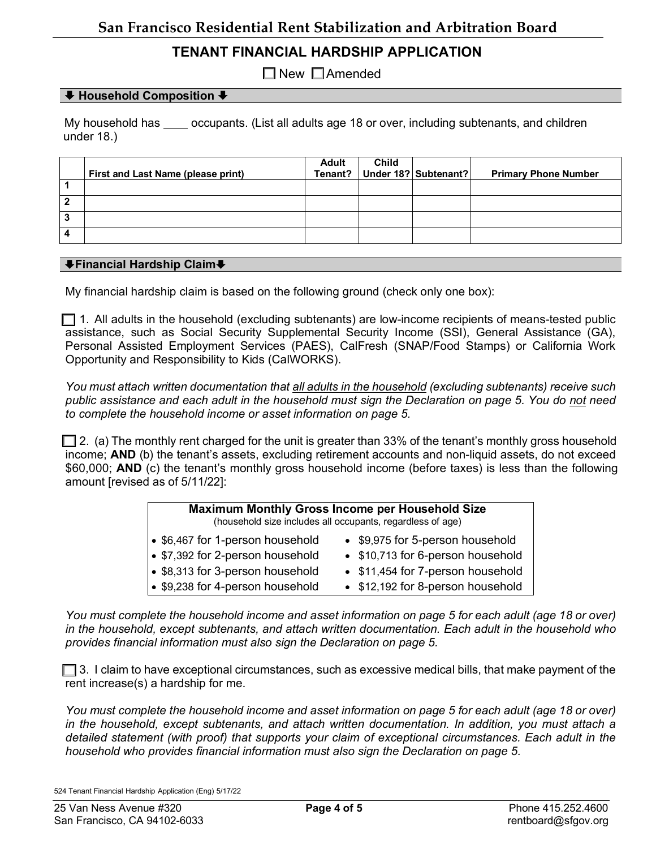# **TENANT FINANCIAL HARDSHIP APPLICATION**

 $\Box$  New  $\Box$  Amended

### È **Household Composition** È

My household has soccupants. (List all adults age 18 or over, including subtenants, and children under 18.)

|   | First and Last Name (please print) | Adult<br>Tenant? | <b>Child</b> | Under 18? Subtenant? | <b>Primary Phone Number</b> |
|---|------------------------------------|------------------|--------------|----------------------|-----------------------------|
|   |                                    |                  |              |                      |                             |
| 2 |                                    |                  |              |                      |                             |
| 3 |                                    |                  |              |                      |                             |
| 4 |                                    |                  |              |                      |                             |

#### È**Financial Hardship Claim**È

My financial hardship claim is based on the following ground (check only one box):

 $\Box$  1. All adults in the household (excluding subtenants) are low-income recipients of means-tested public assistance, such as Social Security Supplemental Security Income (SSI), General Assistance (GA), Personal Assisted Employment Services (PAES), CalFresh (SNAP/Food Stamps) or California Work Opportunity and Responsibility to Kids (CalWORKS).

*You must attach written documentation that all adults in the household (excluding subtenants) receive such public assistance and each adult in the household must sign the Declaration on page 5. You do not need to complete the household income or asset information on page 5.* 

 $\Box$  2. (a) The monthly rent charged for the unit is greater than 33% of the tenant's monthly gross household income; **AND** (b) the tenant's assets, excluding retirement accounts and non-liquid assets, do not exceed \$60,000; **AND** (c) the tenant's monthly gross household income (before taxes) is less than the following amount [revised as of 5/11/22]:

| <b>Maximum Monthly Gross Income per Household Size</b><br>(household size includes all occupants, regardless of age) |                                   |  |  |  |  |
|----------------------------------------------------------------------------------------------------------------------|-----------------------------------|--|--|--|--|
| • \$6,467 for 1-person household                                                                                     | • \$9,975 for 5-person household  |  |  |  |  |
| • \$7,392 for 2-person household                                                                                     | • \$10,713 for 6-person household |  |  |  |  |
| • \$8,313 for 3-person household                                                                                     | • \$11,454 for 7-person household |  |  |  |  |
| • \$9,238 for 4-person household                                                                                     | • \$12,192 for 8-person household |  |  |  |  |

*You must complete the household income and asset information on page 5 for each adult (age 18 or over) in the household, except subtenants, and attach written documentation. Each adult in the household who provides financial information must also sign the Declaration on page 5.*

 $\Box$  3. I claim to have exceptional circumstances, such as excessive medical bills, that make payment of the rent increase(s) a hardship for me.

*You must complete the household income and asset information on page 5 for each adult (age 18 or over) in the household, except subtenants, and attach written documentation. In addition, you must attach a detailed statement (with proof) that supports your claim of exceptional circumstances. Each adult in the household who provides financial information must also sign the Declaration on page 5.*